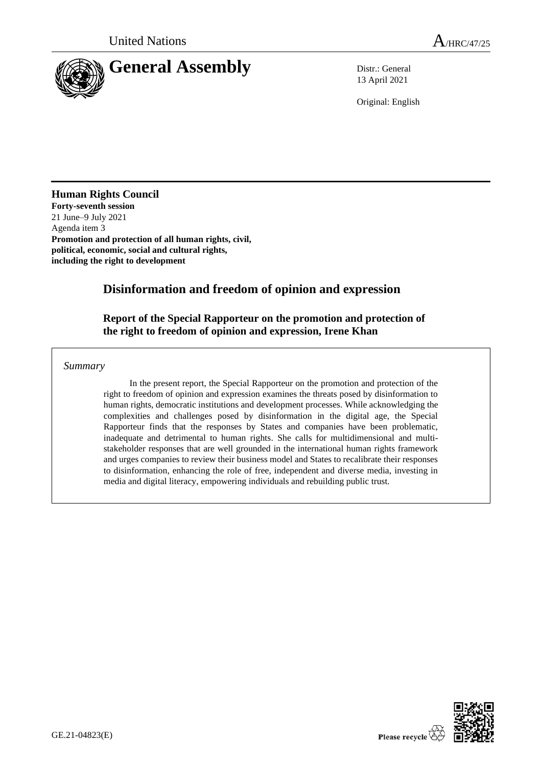

13 April 2021

Original: English

# **Human Rights Council**

**Forty-seventh session**  21 June–9 July 2021 Agenda item 3 **Promotion and protection of all human rights, civil, political, economic, social and cultural rights, including the right to development**

# **Disinformation and freedom of opinion and expression**

# **Report of the Special Rapporteur on the promotion and protection of the right to freedom of opinion and expression, Irene Khan**

*Summary*

In the present report, the Special Rapporteur on the promotion and protection of the right to freedom of opinion and expression examines the threats posed by disinformation to human rights, democratic institutions and development processes. While acknowledging the complexities and challenges posed by disinformation in the digital age, the Special Rapporteur finds that the responses by States and companies have been problematic, inadequate and detrimental to human rights. She calls for multidimensional and multistakeholder responses that are well grounded in the international human rights framework and urges companies to review their business model and States to recalibrate their responses to disinformation, enhancing the role of free, independent and diverse media, investing in media and digital literacy, empowering individuals and rebuilding public trust.

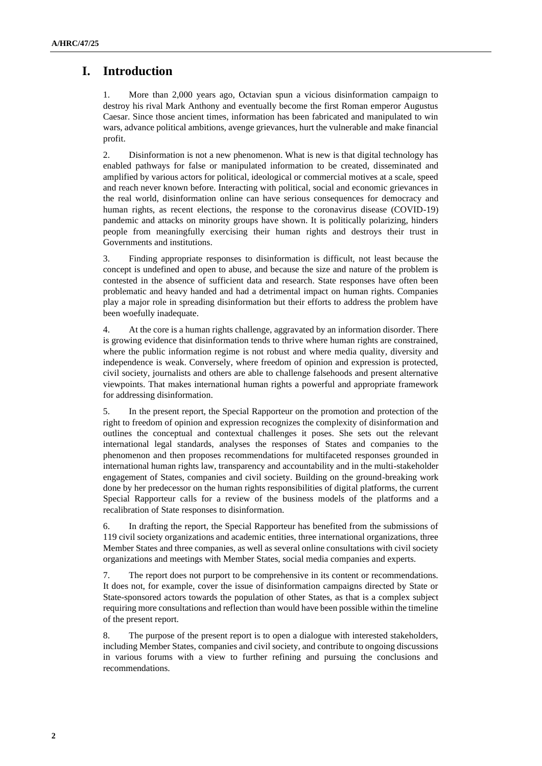# **I. Introduction**

1. More than 2,000 years ago, Octavian spun a vicious disinformation campaign to destroy his rival Mark Anthony and eventually become the first Roman emperor Augustus Caesar. Since those ancient times, information has been fabricated and manipulated to win wars, advance political ambitions, avenge grievances, hurt the vulnerable and make financial profit.

2. Disinformation is not a new phenomenon. What is new is that digital technology has enabled pathways for false or manipulated information to be created, disseminated and amplified by various actors for political, ideological or commercial motives at a scale, speed and reach never known before. Interacting with political, social and economic grievances in the real world, disinformation online can have serious consequences for democracy and human rights, as recent elections, the response to the coronavirus disease (COVID-19) pandemic and attacks on minority groups have shown. It is politically polarizing, hinders people from meaningfully exercising their human rights and destroys their trust in Governments and institutions.

3. Finding appropriate responses to disinformation is difficult, not least because the concept is undefined and open to abuse, and because the size and nature of the problem is contested in the absence of sufficient data and research. State responses have often been problematic and heavy handed and had a detrimental impact on human rights. Companies play a major role in spreading disinformation but their efforts to address the problem have been woefully inadequate.

4. At the core is a human rights challenge, aggravated by an information disorder. There is growing evidence that disinformation tends to thrive where human rights are constrained, where the public information regime is not robust and where media quality, diversity and independence is weak. Conversely, where freedom of opinion and expression is protected, civil society, journalists and others are able to challenge falsehoods and present alternative viewpoints. That makes international human rights a powerful and appropriate framework for addressing disinformation.

5. In the present report, the Special Rapporteur on the promotion and protection of the right to freedom of opinion and expression recognizes the complexity of disinformation and outlines the conceptual and contextual challenges it poses. She sets out the relevant international legal standards, analyses the responses of States and companies to the phenomenon and then proposes recommendations for multifaceted responses grounded in international human rights law, transparency and accountability and in the multi-stakeholder engagement of States, companies and civil society. Building on the ground-breaking work done by her predecessor on the human rights responsibilities of digital platforms, the current Special Rapporteur calls for a review of the business models of the platforms and a recalibration of State responses to disinformation.

6. In drafting the report, the Special Rapporteur has benefited from the submissions of 119 civil society organizations and academic entities, three international organizations, three Member States and three companies, as well as several online consultations with civil society organizations and meetings with Member States, social media companies and experts.

7. The report does not purport to be comprehensive in its content or recommendations. It does not, for example, cover the issue of disinformation campaigns directed by State or State-sponsored actors towards the population of other States, as that is a complex subject requiring more consultations and reflection than would have been possible within the timeline of the present report.

8. The purpose of the present report is to open a dialogue with interested stakeholders, including Member States, companies and civil society, and contribute to ongoing discussions in various forums with a view to further refining and pursuing the conclusions and recommendations.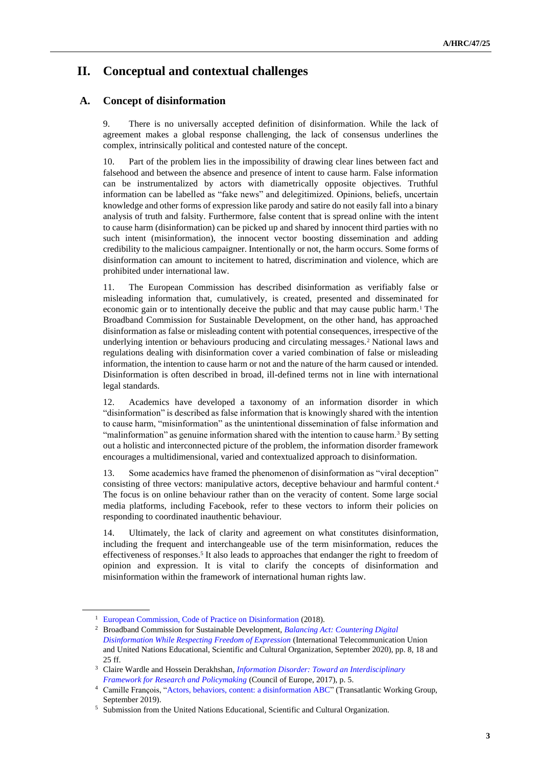# **II. Conceptual and contextual challenges**

# **A. Concept of disinformation**

9. There is no universally accepted definition of disinformation. While the lack of agreement makes a global response challenging, the lack of consensus underlines the complex, intrinsically political and contested nature of the concept.

10. Part of the problem lies in the impossibility of drawing clear lines between fact and falsehood and between the absence and presence of intent to cause harm. False information can be instrumentalized by actors with diametrically opposite objectives. Truthful information can be labelled as "fake news" and delegitimized. Opinions, beliefs, uncertain knowledge and other forms of expression like parody and satire do not easily fall into a binary analysis of truth and falsity. Furthermore, false content that is spread online with the intent to cause harm (disinformation) can be picked up and shared by innocent third parties with no such intent (misinformation), the innocent vector boosting dissemination and adding credibility to the malicious campaigner. Intentionally or not, the harm occurs. Some forms of disinformation can amount to incitement to hatred, discrimination and violence, which are prohibited under international law.

11. The European Commission has described disinformation as verifiably false or misleading information that, cumulatively, is created, presented and disseminated for economic gain or to intentionally deceive the public and that may cause public harm.<sup>1</sup> The Broadband Commission for Sustainable Development, on the other hand, has approached disinformation as false or misleading content with potential consequences, irrespective of the underlying intention or behaviours producing and circulating messages.<sup>2</sup> National laws and regulations dealing with disinformation cover a varied combination of false or misleading information, the intention to cause harm or not and the nature of the harm caused or intended. Disinformation is often described in broad, ill-defined terms not in line with international legal standards.

12. Academics have developed a taxonomy of an information disorder in which "disinformation" is described as false information that is knowingly shared with the intention to cause harm, "misinformation" as the unintentional dissemination of false information and "malinformation" as genuine information shared with the intention to cause harm.<sup>3</sup> By setting out a holistic and interconnected picture of the problem, the information disorder framework encourages a multidimensional, varied and contextualized approach to disinformation.

13. Some academics have framed the phenomenon of disinformation as "viral deception" consisting of three vectors: manipulative actors, deceptive behaviour and harmful content. 4 The focus is on online behaviour rather than on the veracity of content. Some large social media platforms, including Facebook, refer to these vectors to inform their policies on responding to coordinated inauthentic behaviour.

14. Ultimately, the lack of clarity and agreement on what constitutes disinformation, including the frequent and interchangeable use of the term misinformation, reduces the effectiveness of responses.<sup>5</sup> It also leads to approaches that endanger the right to freedom of opinion and expression. It is vital to clarify the concepts of disinformation and misinformation within the framework of international human rights law.

<sup>&</sup>lt;sup>1</sup> [European Commission, Code of Practice on Disinformation](https://ec.europa.eu/digital-single-market/en/code-practice-disinformation) (2018).

<sup>2</sup> Broadband Commission for Sustainable Development, *[Balancing Act: Countering Digital](https://www.broadbandcommission.org/Documents/working-groups/FoE_Disinfo_Report.pdf)  [Disinformation While Respecting Freedom of Expression](https://www.broadbandcommission.org/Documents/working-groups/FoE_Disinfo_Report.pdf)* (International Telecommunication Union and United Nations Educational, Scientific and Cultural Organization, September 2020), pp. 8, 18 and 25 ff.

<sup>3</sup> Claire Wardle and Hossein Derakhshan, *[Information Disorder: Toward an Interdisciplinary](https://edoc.coe.int/en/media/7495-information-disorder-toward-an-interdisciplinary-framework-for-research-and-policy-making.htm)  [Framework for Research and Policymaking](https://edoc.coe.int/en/media/7495-information-disorder-toward-an-interdisciplinary-framework-for-research-and-policy-making.htm)* (Council of Europe, 2017), p. 5.

<sup>4</sup> Camille François, ["Actors, behaviors, content: a disinformation ABC"](https://science.house.gov/imo/media/doc/Francois%20Addendum%20to%20Testimony%20-%20ABC_Framework_2019_Sept_2019.pdf) (Transatlantic Working Group, September 2019).

<sup>5</sup> Submission from the United Nations Educational, Scientific and Cultural Organization.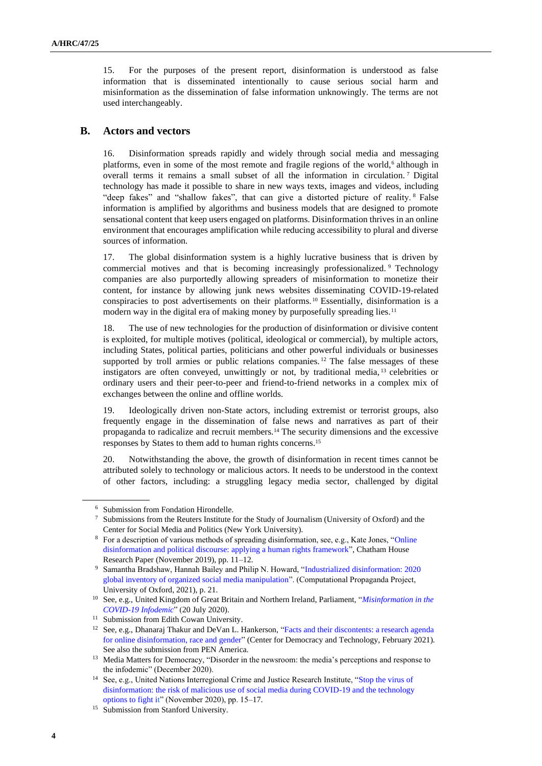15. For the purposes of the present report, disinformation is understood as false information that is disseminated intentionally to cause serious social harm and misinformation as the dissemination of false information unknowingly. The terms are not used interchangeably.

#### **B. Actors and vectors**

16. Disinformation spreads rapidly and widely through social media and messaging platforms, even in some of the most remote and fragile regions of the world,<sup>6</sup> although in overall terms it remains a small subset of all the information in circulation. <sup>7</sup> Digital technology has made it possible to share in new ways texts, images and videos, including "deep fakes" and "shallow fakes", that can give a distorted picture of reality. <sup>8</sup> False information is amplified by algorithms and business models that are designed to promote sensational content that keep users engaged on platforms. Disinformation thrives in an online environment that encourages amplification while reducing accessibility to plural and diverse sources of information.

17. The global disinformation system is a highly lucrative business that is driven by commercial motives and that is becoming increasingly professionalized.<sup>9</sup> Technology companies are also purportedly allowing spreaders of misinformation to monetize their content, for instance by allowing junk news websites disseminating COVID-19-related conspiracies to post advertisements on their platforms. <sup>10</sup> Essentially, disinformation is a modern way in the digital era of making money by purposefully spreading lies.<sup>11</sup>

18. The use of new technologies for the production of disinformation or divisive content is exploited, for multiple motives (political, ideological or commercial), by multiple actors, including States, political parties, politicians and other powerful individuals or businesses supported by troll armies or public relations companies.<sup>12</sup> The false messages of these instigators are often conveyed, unwittingly or not, by traditional media, <sup>13</sup> celebrities or ordinary users and their peer-to-peer and friend-to-friend networks in a complex mix of exchanges between the online and offline worlds.

19. Ideologically driven non-State actors, including extremist or terrorist groups, also frequently engage in the dissemination of false news and narratives as part of their propaganda to radicalize and recruit members.<sup>14</sup> The security dimensions and the excessive responses by States to them add to human rights concerns.<sup>15</sup>

20. Notwithstanding the above, the growth of disinformation in recent times cannot be attributed solely to technology or malicious actors. It needs to be understood in the context of other factors, including: a struggling legacy media sector, challenged by digital

<sup>6</sup> Submission from Fondation Hirondelle.

<sup>7</sup> Submissions from the Reuters Institute for the Study of Journalism (University of Oxford) and the Center for Social Media and Politics (New York University).

<sup>&</sup>lt;sup>8</sup> For a description of various methods of spreading disinformation, see, e.g., Kate Jones, "Online [disinformation and political discourse: applying a human rights framework"](https://www.chathamhouse.org/sites/default/files/2019-11-05-Online-Disinformation-Human-Rights.pdf), Chatham House Research Paper (November 2019), pp. 11–12.

<sup>9</sup> Samantha Bradshaw, Hannah Bailey and Philip N. Howard, ["Industrialized disinformation: 2020](https://demtech.oii.ox.ac.uk/wp-content/uploads/sites/127/2021/01/CyberTroop-Report-2020-v.2.pdf)  [global inventory of organized social media manipulation"](https://demtech.oii.ox.ac.uk/wp-content/uploads/sites/127/2021/01/CyberTroop-Report-2020-v.2.pdf). (Computational Propaganda Project, University of Oxford, 2021), p. 21.

<sup>10</sup> See, e.g., United Kingdom of Great Britain and Northern Ireland, Parliament, ["](https://publications.parliament.uk/pa/cm5801/cmselect/cmcumeds/234/23405.htm#_idTextAnchor020)*[Misinformation in the](https://publications.parliament.uk/pa/cm5801/cmselect/cmcumeds/234/23405.htm#_idTextAnchor020)  [COVID-19 Infodemic](https://publications.parliament.uk/pa/cm5801/cmselect/cmcumeds/234/23405.htm#_idTextAnchor020)*" (20 July 2020).

<sup>&</sup>lt;sup>11</sup> Submission from Edith Cowan University.

<sup>12</sup> See, e.g., Dhanaraj Thakur and DeVan L. Hankerson, ["Facts and their discontents: a research agenda](https://cdt.org/insights/facts-and-their-discontents-a-research-agenda-for-online-disinformation-race-and-gender/)  [for online disinformation, race and gender"](https://cdt.org/insights/facts-and-their-discontents-a-research-agenda-for-online-disinformation-race-and-gender/) (Center for Democracy and Technology, February 2021). See also the submission from PEN America.

<sup>&</sup>lt;sup>13</sup> Media Matters for Democracy, "Disorder in the newsroom: the media's perceptions and response to the infodemic" (December 2020).

<sup>14</sup> See, e.g., United Nations Interregional Crime and Justice Research Institute, ["Stop the virus of](http://unicri.it/sites/default/files/2021-01/misuse_sm_0.pdf)  [disinformation: the risk of malicious use of social media during COVID-19 and the technology](http://unicri.it/sites/default/files/2021-01/misuse_sm_0.pdf)  [options to fight it"](http://unicri.it/sites/default/files/2021-01/misuse_sm_0.pdf) (November 2020), pp. 15–17.

<sup>&</sup>lt;sup>15</sup> Submission from Stanford University.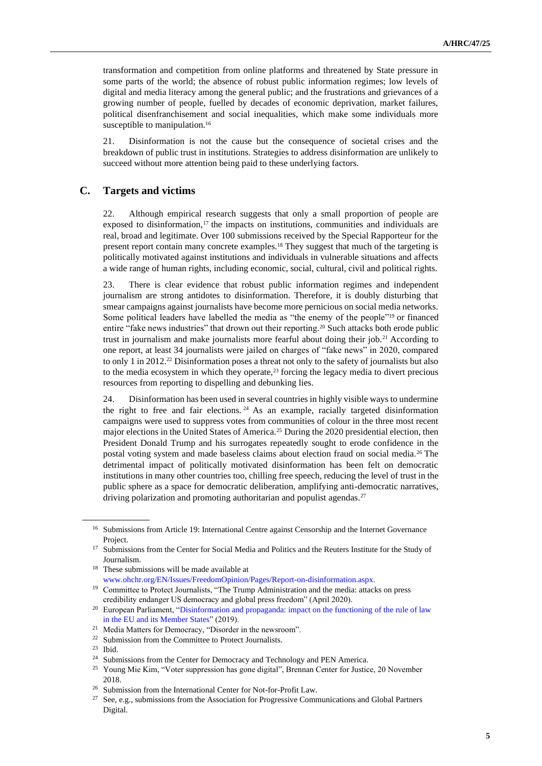transformation and competition from online platforms and threatened by State pressure in some parts of the world; the absence of robust public information regimes; low levels of digital and media literacy among the general public; and the frustrations and grievances of a growing number of people, fuelled by decades of economic deprivation, market failures, political disenfranchisement and social inequalities, which make some individuals more susceptible to manipulation.<sup>16</sup>

21. Disinformation is not the cause but the consequence of societal crises and the breakdown of public trust in institutions. Strategies to address disinformation are unlikely to succeed without more attention being paid to these underlying factors.

### **C. Targets and victims**

22. Although empirical research suggests that only a small proportion of people are exposed to disinformation,<sup>17</sup> the impacts on institutions, communities and individuals are real, broad and legitimate. Over 100 submissions received by the Special Rapporteur for the present report contain many concrete examples.<sup>18</sup> They suggest that much of the targeting is politically motivated against institutions and individuals in vulnerable situations and affects a wide range of human rights, including economic, social, cultural, civil and political rights.

23. There is clear evidence that robust public information regimes and independent journalism are strong antidotes to disinformation. Therefore, it is doubly disturbing that smear campaigns against journalists have become more pernicious on social media networks. Some political leaders have labelled the media as "the enemy of the people"<sup>19</sup> or financed entire "fake news industries" that drown out their reporting.<sup>20</sup> Such attacks both erode public trust in journalism and make journalists more fearful about doing their job.<sup>21</sup> According to one report, at least 34 journalists were jailed on charges of "fake news" in 2020, compared to only 1 in 2012.<sup>22</sup> Disinformation poses a threat not only to the safety of journalists but also to the media ecosystem in which they operate, $2<sup>3</sup>$  forcing the legacy media to divert precious resources from reporting to dispelling and debunking lies.

24. Disinformation has been used in several countries in highly visible ways to undermine the right to free and fair elections.<sup>24</sup> As an example, racially targeted disinformation campaigns were used to suppress votes from communities of colour in the three most recent major elections in the United States of America.<sup>25</sup> During the 2020 presidential election, then President Donald Trump and his surrogates repeatedly sought to erode confidence in the postal voting system and made baseless claims about election fraud on social media.<sup>26</sup> The detrimental impact of politically motivated disinformation has been felt on democratic institutions in many other countries too, chilling free speech, reducing the level of trust in the public sphere as a space for democratic deliberation, amplifying anti-democratic narratives, driving polarization and promoting authoritarian and populist agendas.<sup>27</sup>

<sup>&</sup>lt;sup>16</sup> Submissions from Article 19: International Centre against Censorship and the Internet Governance Project.

<sup>&</sup>lt;sup>17</sup> Submissions from the Center for Social Media and Politics and the Reuters Institute for the Study of Journalism.

<sup>18</sup> These submissions will be made available at [www.ohchr.org/EN/Issues/FreedomOpinion/Pages/Report-on-disinformation.aspx.](http://www.ohchr.org/EN/Issues/FreedomOpinion/Pages/Report-on-disinformation.aspx)

<sup>&</sup>lt;sup>19</sup> Committee to Protect Journalists, "The Trump Administration and the media: attacks on press credibility endanger US democracy and global press freedom" (April 2020).

<sup>&</sup>lt;sup>20</sup> European Parliament, "Disinformation and propaganda: impact on the functioning of the rule of law [in the EU and its Member States"](https://www.europarl.europa.eu/RegData/etudes/STUD/2019/608864/IPOL_STU(2019)608864_EN.pdf) (2019).

<sup>21</sup> Media Matters for Democracy, "Disorder in the newsroom".

<sup>&</sup>lt;sup>22</sup> Submission from the Committee to Protect Journalists.

<sup>23</sup> Ibid.

<sup>&</sup>lt;sup>24</sup> Submissions from the Center for Democracy and Technology and PEN America.

<sup>&</sup>lt;sup>25</sup> Young Mie Kim, "Voter suppression has gone digital", Brennan Center for Justice, 20 November 2018.

<sup>&</sup>lt;sup>26</sup> Submission from the International Center for Not-for-Profit Law.

<sup>&</sup>lt;sup>27</sup> See, e.g., submissions from the Association for Progressive Communications and Global Partners Digital.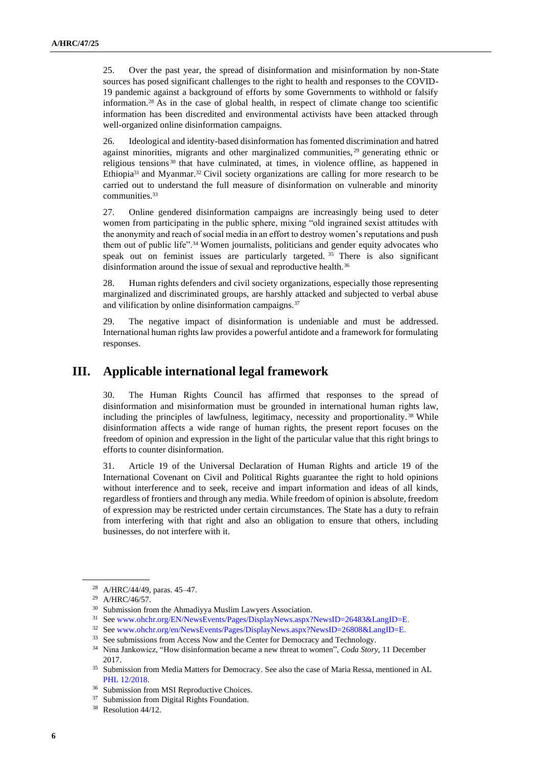25. Over the past year, the spread of disinformation and misinformation by non-State sources has posed significant challenges to the right to health and responses to the COVID-19 pandemic against a background of efforts by some Governments to withhold or falsify information.<sup>28</sup> As in the case of global health, in respect of climate change too scientific information has been discredited and environmental activists have been attacked through well-organized online disinformation campaigns.

26. Ideological and identity-based disinformation has fomented discrimination and hatred against minorities, migrants and other marginalized communities, <sup>29</sup> generating ethnic or religious tensions <sup>30</sup> that have culminated, at times, in violence offline, as happened in Ethiopia<sup>31</sup> and Myanmar.<sup>32</sup> Civil society organizations are calling for more research to be carried out to understand the full measure of disinformation on vulnerable and minority communities.<sup>33</sup>

27. Online gendered disinformation campaigns are increasingly being used to deter women from participating in the public sphere, mixing "old ingrained sexist attitudes with the anonymity and reach of social media in an effort to destroy women's reputations and push them out of public life".<sup>34</sup> Women journalists, politicians and gender equity advocates who speak out on feminist issues are particularly targeted. <sup>35</sup> There is also significant disinformation around the issue of sexual and reproductive health.<sup>36</sup>

28. Human rights defenders and civil society organizations, especially those representing marginalized and discriminated groups, are harshly attacked and subjected to verbal abuse and vilification by online disinformation campaigns.<sup>37</sup>

29. The negative impact of disinformation is undeniable and must be addressed. International human rights law provides a powerful antidote and a framework for formulating responses.

# **III. Applicable international legal framework**

30. The Human Rights Council has affirmed that responses to the spread of disinformation and misinformation must be grounded in international human rights law, including the principles of lawfulness, legitimacy, necessity and proportionality. <sup>38</sup> While disinformation affects a wide range of human rights, the present report focuses on the freedom of opinion and expression in the light of the particular value that this right brings to efforts to counter disinformation.

31. Article 19 of the Universal Declaration of Human Rights and article 19 of the International Covenant on Civil and Political Rights guarantee the right to hold opinions without interference and to seek, receive and impart information and ideas of all kinds, regardless of frontiers and through any media. While freedom of opinion is absolute, freedom of expression may be restricted under certain circumstances. The State has a duty to refrain from interfering with that right and also an obligation to ensure that others, including businesses, do not interfere with it.

<sup>28</sup> A/HRC/44/49, paras. 45–47.

<sup>29</sup> A/HRC/46/57.

<sup>&</sup>lt;sup>30</sup> Submission from the Ahmadiyya Muslim Lawyers Association.

<sup>31</sup> Se[e www.ohchr.org/EN/NewsEvents/Pages/DisplayNews.aspx?NewsID=26483&LangID=E.](http://www.ohchr.org/EN/NewsEvents/Pages/DisplayNews.aspx?NewsID=26483&LangID=E)

<sup>32</sup> Se[e www.ohchr.org/en/NewsEvents/Pages/DisplayNews.aspx?NewsID=26808&LangID=E.](http://www.ohchr.org/en/NewsEvents/Pages/DisplayNews.aspx?NewsID=26808&LangID=E)

<sup>&</sup>lt;sup>33</sup> See submissions from Access Now and the Center for Democracy and Technology.

<sup>34</sup> Nina Jankowicz, "How disinformation became a new threat to women", *Coda Story*, 11 December 2017.

<sup>&</sup>lt;sup>35</sup> Submission from Media Matters for Democracy. See also the case of Maria Ressa, mentioned in AL [PHL 12/2018.](https://spcommreports.ohchr.org/TMResultsBase/DownLoadPublicCommunicationFile?gId=24232)

<sup>&</sup>lt;sup>36</sup> Submission from MSI Reproductive Choices.

<sup>&</sup>lt;sup>37</sup> Submission from Digital Rights Foundation.

<sup>38</sup> Resolution 44/12.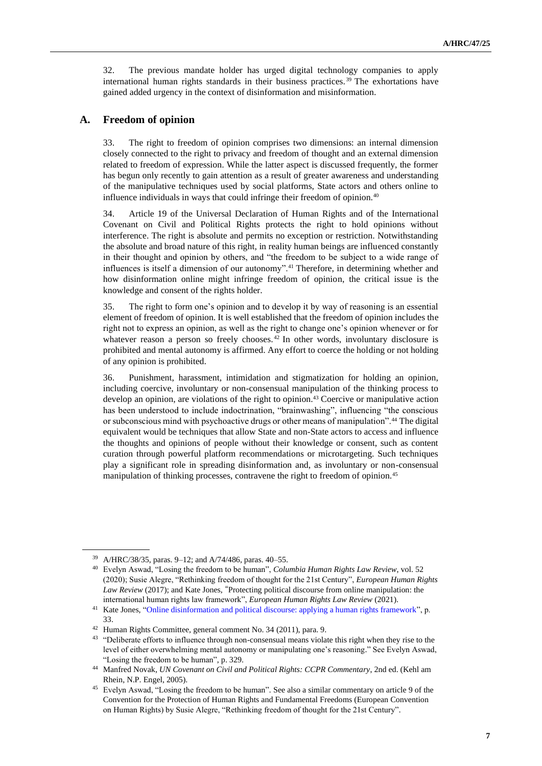32. The previous mandate holder has urged digital technology companies to apply international human rights standards in their business practices. <sup>39</sup> The exhortations have gained added urgency in the context of disinformation and misinformation.

#### **A. Freedom of opinion**

33. The right to freedom of opinion comprises two dimensions: an internal dimension closely connected to the right to privacy and freedom of thought and an external dimension related to freedom of expression. While the latter aspect is discussed frequently, the former has begun only recently to gain attention as a result of greater awareness and understanding of the manipulative techniques used by social platforms, State actors and others online to influence individuals in ways that could infringe their freedom of opinion.<sup>40</sup>

34. Article 19 of the Universal Declaration of Human Rights and of the International Covenant on Civil and Political Rights protects the right to hold opinions without interference. The right is absolute and permits no exception or restriction. Notwithstanding the absolute and broad nature of this right, in reality human beings are influenced constantly in their thought and opinion by others, and "the freedom to be subject to a wide range of influences is itself a dimension of our autonomy".<sup>41</sup> Therefore, in determining whether and how disinformation online might infringe freedom of opinion, the critical issue is the knowledge and consent of the rights holder.

35. The right to form one's opinion and to develop it by way of reasoning is an essential element of freedom of opinion. It is well established that the freedom of opinion includes the right not to express an opinion, as well as the right to change one's opinion whenever or for whatever reason a person so freely chooses.<sup>42</sup> In other words, involuntary disclosure is prohibited and mental autonomy is affirmed. Any effort to coerce the holding or not holding of any opinion is prohibited.

36. Punishment, harassment, intimidation and stigmatization for holding an opinion, including coercive, involuntary or non-consensual manipulation of the thinking process to develop an opinion, are violations of the right to opinion.<sup>43</sup> Coercive or manipulative action has been understood to include indoctrination, "brainwashing", influencing "the conscious or subconscious mind with psychoactive drugs or other means of manipulation".<sup>44</sup> The digital equivalent would be techniques that allow State and non-State actors to access and influence the thoughts and opinions of people without their knowledge or consent, such as content curation through powerful platform recommendations or microtargeting. Such techniques play a significant role in spreading disinformation and, as involuntary or non-consensual manipulation of thinking processes, contravene the right to freedom of opinion.<sup>45</sup>

<sup>39</sup> A/HRC/38/35, paras. 9–12; and A/74/486, paras. 40–55.

<sup>40</sup> Evelyn Aswad, "Losing the freedom to be human", *Columbia Human Rights Law Review*, vol. 52 (2020); Susie Alegre, "Rethinking freedom of thought for the 21st Century", *European Human Rights Law Review* (2017); and Kate Jones, "Protecting political discourse from online manipulation: the international human rights law framework", *European Human Rights Law Review* (2021).

<sup>&</sup>lt;sup>41</sup> Kate Jones, ["Online disinformation and political discourse: applying a human rights framework"](https://www.chathamhouse.org/sites/default/files/2019-11-05-Online-Disinformation-Human-Rights.pdf), p. 33.

<sup>42</sup> Human Rights Committee, general comment No. 34 (2011), para. 9.

<sup>&</sup>lt;sup>43</sup> "Deliberate efforts to influence through non-consensual means violate this right when they rise to the level of either overwhelming mental autonomy or manipulating one's reasoning." See Evelyn Aswad, "Losing the freedom to be human", p. 329.

<sup>44</sup> Manfred Novak, *UN Covenant on Civil and Political Rights: CCPR Commentary*, 2nd ed. (Kehl am Rhein, N.P. Engel, 2005).

<sup>45</sup> Evelyn Aswad, "Losing the freedom to be human"*.* See also a similar commentary on article 9 of the Convention for the Protection of Human Rights and Fundamental Freedoms (European Convention on Human Rights) by Susie Alegre, "Rethinking freedom of thought for the 21st Century"*.*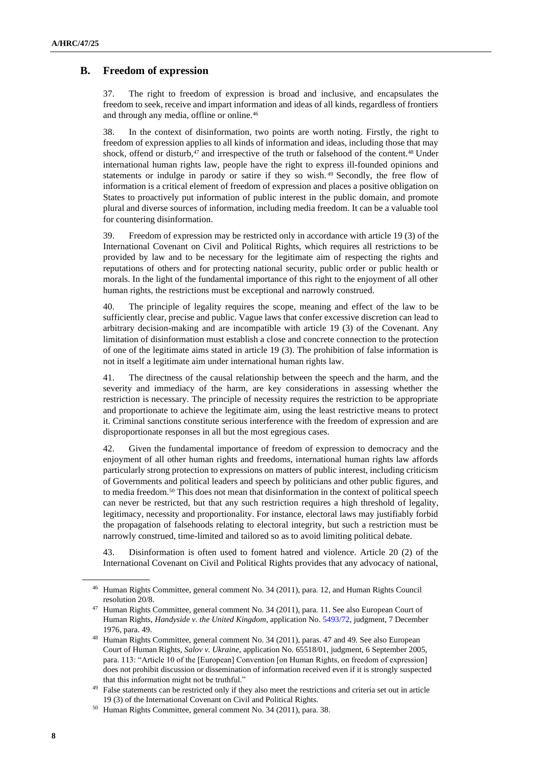### **B. Freedom of expression**

37. The right to freedom of expression is broad and inclusive, and encapsulates the freedom to seek, receive and impart information and ideas of all kinds, regardless of frontiers and through any media, offline or online.<sup>46</sup>

38. In the context of disinformation, two points are worth noting. Firstly, the right to freedom of expression applies to all kinds of information and ideas, including those that may shock, offend or disturb,<sup>47</sup> and irrespective of the truth or falsehood of the content.<sup>48</sup> Under international human rights law, people have the right to express ill-founded opinions and statements or indulge in parody or satire if they so wish. <sup>49</sup> Secondly, the free flow of information is a critical element of freedom of expression and places a positive obligation on States to proactively put information of public interest in the public domain, and promote plural and diverse sources of information, including media freedom. It can be a valuable tool for countering disinformation.

39. Freedom of expression may be restricted only in accordance with article 19 (3) of the International Covenant on Civil and Political Rights, which requires all restrictions to be provided by law and to be necessary for the legitimate aim of respecting the rights and reputations of others and for protecting national security, public order or public health or morals. In the light of the fundamental importance of this right to the enjoyment of all other human rights, the restrictions must be exceptional and narrowly construed.

40. The principle of legality requires the scope, meaning and effect of the law to be sufficiently clear, precise and public. Vague laws that confer excessive discretion can lead to arbitrary decision-making and are incompatible with article 19 (3) of the Covenant. Any limitation of disinformation must establish a close and concrete connection to the protection of one of the legitimate aims stated in article 19 (3). The prohibition of false information is not in itself a legitimate aim under international human rights law.

41. The directness of the causal relationship between the speech and the harm, and the severity and immediacy of the harm, are key considerations in assessing whether the restriction is necessary. The principle of necessity requires the restriction to be appropriate and proportionate to achieve the legitimate aim, using the least restrictive means to protect it. Criminal sanctions constitute serious interference with the freedom of expression and are disproportionate responses in all but the most egregious cases.

42. Given the fundamental importance of freedom of expression to democracy and the enjoyment of all other human rights and freedoms, international human rights law affords particularly strong protection to expressions on matters of public interest, including criticism of Governments and political leaders and speech by politicians and other public figures, and to media freedom.<sup>50</sup> This does not mean that disinformation in the context of political speech can never be restricted, but that any such restriction requires a high threshold of legality, legitimacy, necessity and proportionality. For instance, electoral laws may justifiably forbid the propagation of falsehoods relating to electoral integrity, but such a restriction must be narrowly construed, time-limited and tailored so as to avoid limiting political debate.

43. Disinformation is often used to foment hatred and violence. Article 20 (2) of the International Covenant on Civil and Political Rights provides that any advocacy of national,

<sup>46</sup> Human Rights Committee, general comment No. 34 (2011), para. 12, and Human Rights Council resolution 20/8.

<sup>47</sup> Human Rights Committee, general comment No. 34 (2011), para. 11. See also European Court of Human Rights, *Handyside v. the United Kingdom*, application No. [5493/72,](https://hudoc.echr.coe.int/eng#{%22appno%22:[%225493/72%22]}) judgment, 7 December 1976, para. 49.

<sup>48</sup> Human Rights Committee, general comment No. 34 (2011), paras. 47 and 49. See also European Court of Human Rights, *Salov v. Ukraine*, application No. 65518/01, judgment, 6 September 2005, para. 113: "Article 10 of the [European] Convention [on Human Rights, on freedom of expression] does not prohibit discussion or dissemination of information received even if it is strongly suspected that this information might not be truthful."

<sup>&</sup>lt;sup>49</sup> False statements can be restricted only if they also meet the restrictions and criteria set out in article 19 (3) of the International Covenant on Civil and Political Rights.

<sup>50</sup> Human Rights Committee, general comment No. 34 (2011), para. 38.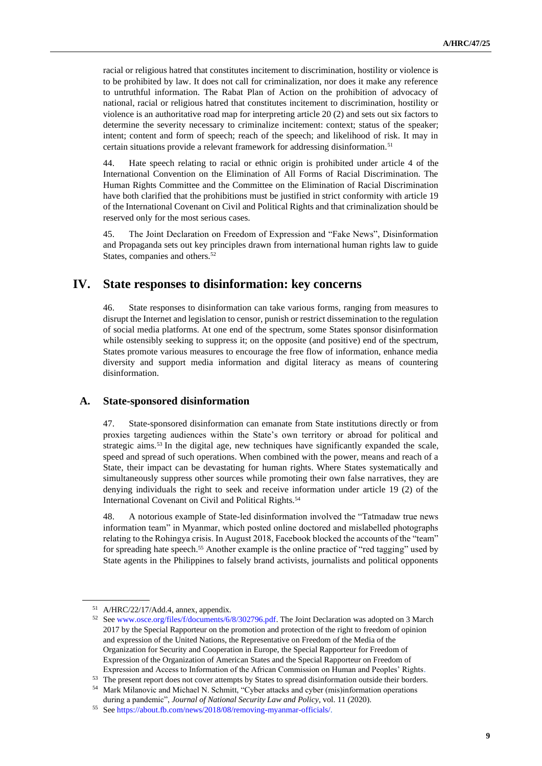racial or religious hatred that constitutes incitement to discrimination, hostility or violence is to be prohibited by law. It does not call for criminalization, nor does it make any reference to untruthful information. The Rabat Plan of Action on the prohibition of advocacy of national, racial or religious hatred that constitutes incitement to discrimination, hostility or violence is an authoritative road map for interpreting article 20 (2) and sets out six factors to determine the severity necessary to criminalize incitement: context; status of the speaker; intent; content and form of speech; reach of the speech; and likelihood of risk. It may in certain situations provide a relevant framework for addressing disinformation.<sup>51</sup>

44. Hate speech relating to racial or ethnic origin is prohibited under article 4 of the International Convention on the Elimination of All Forms of Racial Discrimination. The Human Rights Committee and the Committee on the Elimination of Racial Discrimination have both clarified that the prohibitions must be justified in strict conformity with article 19 of the International Covenant on Civil and Political Rights and that criminalization should be reserved only for the most serious cases.

45. The Joint Declaration on Freedom of Expression and "Fake News", Disinformation and Propaganda sets out key principles drawn from international human rights law to guide States, companies and others.<sup>52</sup>

# **IV. State responses to disinformation: key concerns**

46. State responses to disinformation can take various forms, ranging from measures to disrupt the Internet and legislation to censor, punish or restrict dissemination to the regulation of social media platforms. At one end of the spectrum, some States sponsor disinformation while ostensibly seeking to suppress it; on the opposite (and positive) end of the spectrum, States promote various measures to encourage the free flow of information, enhance media diversity and support media information and digital literacy as means of countering disinformation.

#### **A. State-sponsored disinformation**

47. State-sponsored disinformation can emanate from State institutions directly or from proxies targeting audiences within the State's own territory or abroad for political and strategic aims.<sup>53</sup> In the digital age, new techniques have significantly expanded the scale, speed and spread of such operations. When combined with the power, means and reach of a State, their impact can be devastating for human rights. Where States systematically and simultaneously suppress other sources while promoting their own false narratives, they are denying individuals the right to seek and receive information under article 19 (2) of the International Covenant on Civil and Political Rights.<sup>54</sup>

48. A notorious example of State-led disinformation involved the "Tatmadaw true news information team" in Myanmar, which posted online doctored and mislabelled photographs relating to the Rohingya crisis. In August 2018, Facebook blocked the accounts of the "team" for spreading hate speech.<sup>55</sup> Another example is the online practice of "red tagging" used by State agents in the Philippines to falsely brand activists, journalists and political opponents

<sup>51</sup> A/HRC/22/17/Add.4, annex, appendix.

<sup>52</sup> Se[e www.osce.org/files/f/documents/6/8/302796.pdf.](http://www.osce.org/files/f/documents/6/8/302796.pdf) The Joint Declaration was adopted on 3 March 2017 by the Special Rapporteur on the promotion and protection of the right to freedom of opinion and expression of the United Nations, the Representative on Freedom of the Media of the Organization for Security and Cooperation in Europe, the Special Rapporteur for Freedom of Expression of the Organization of American States and the Special Rapporteur on Freedom of Expression and Access to Information of the African Commission on Human and Peoples' Rights.

<sup>53</sup> The present report does not cover attempts by States to spread disinformation outside their borders.

<sup>54</sup> Mark Milanovic and Michael N. Schmitt, "Cyber attacks and cyber (mis)information operations during a pandemic", *Journal of National Security Law and Policy*, vol. 11 (2020).

<sup>55</sup> Se[e https://about.fb.com/news/2018/08/removing-myanmar-officials/.](https://about.fb.com/news/2018/08/removing-myanmar-officials/)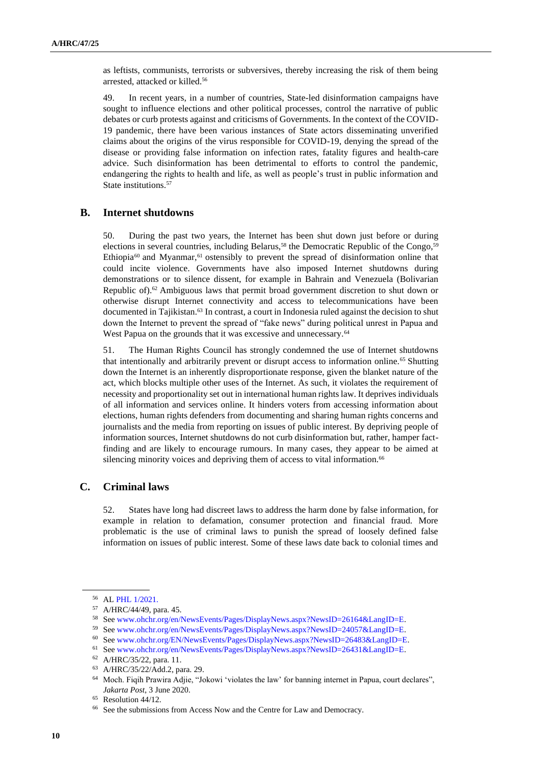as leftists, communists, terrorists or subversives, thereby increasing the risk of them being arrested, attacked or killed.<sup>56</sup>

49. In recent years, in a number of countries, State-led disinformation campaigns have sought to influence elections and other political processes, control the narrative of public debates or curb protests against and criticisms of Governments. In the context of the COVID-19 pandemic, there have been various instances of State actors disseminating unverified claims about the origins of the virus responsible for COVID-19, denying the spread of the disease or providing false information on infection rates, fatality figures and health-care advice. Such disinformation has been detrimental to efforts to control the pandemic, endangering the rights to health and life, as well as people's trust in public information and State institutions.<sup>57</sup>

#### **B. Internet shutdowns**

50. During the past two years, the Internet has been shut down just before or during elections in several countries, including Belarus,<sup>58</sup> the Democratic Republic of the Congo,<sup>59</sup> Ethiopia<sup>60</sup> and Myanmar,<sup>61</sup> ostensibly to prevent the spread of disinformation online that could incite violence. Governments have also imposed Internet shutdowns during demonstrations or to silence dissent, for example in Bahrain and Venezuela (Bolivarian Republic of).<sup>62</sup> Ambiguous laws that permit broad government discretion to shut down or otherwise disrupt Internet connectivity and access to telecommunications have been documented in Tajikistan.<sup>63</sup> In contrast, a court in Indonesia ruled against the decision to shut down the Internet to prevent the spread of "fake news" during political unrest in Papua and West Papua on the grounds that it was excessive and unnecessary.<sup>64</sup>

51. The Human Rights Council has strongly condemned the use of Internet shutdowns that intentionally and arbitrarily prevent or disrupt access to information online.<sup>65</sup> Shutting down the Internet is an inherently disproportionate response, given the blanket nature of the act, which blocks multiple other uses of the Internet. As such, it violates the requirement of necessity and proportionality set out in international human rights law. It deprives individuals of all information and services online. It hinders voters from accessing information about elections, human rights defenders from documenting and sharing human rights concerns and journalists and the media from reporting on issues of public interest. By depriving people of information sources, Internet shutdowns do not curb disinformation but, rather, hamper factfinding and are likely to encourage rumours. In many cases, they appear to be aimed at silencing minority voices and depriving them of access to vital information.<sup>66</sup>

## **C. Criminal laws**

52. States have long had discreet laws to address the harm done by false information, for example in relation to defamation, consumer protection and financial fraud. More problematic is the use of criminal laws to punish the spread of loosely defined false information on issues of public interest. Some of these laws date back to colonial times and

<sup>56</sup> A[L PHL 1/2021.](https://spcommreports.ohchr.org/TMResultsBase/DownLoadPublicCommunicationFile?gId=25942)

<sup>57</sup> A/HRC/44/49, para. 45.

<sup>58</sup> Se[e www.ohchr.org/en/NewsEvents/Pages/DisplayNews.aspx?NewsID=26164&LangID=E.](http://www.ohchr.org/en/NewsEvents/Pages/DisplayNews.aspx?NewsID=26164&LangID=E)

<sup>59</sup> Se[e www.ohchr.org/en/NewsEvents/Pages/DisplayNews.aspx?NewsID=24057&LangID=E.](http://www.ohchr.org/en/NewsEvents/Pages/DisplayNews.aspx?NewsID=24057&LangID=E)

<sup>60</sup> Se[e www.ohchr.org/EN/NewsEvents/Pages/DisplayNews.aspx?NewsID=26483&LangID=E.](http://www.ohchr.org/EN/NewsEvents/Pages/DisplayNews.aspx?NewsID=26483&LangID=E) 

 $^{61}\,$  Se[e www.ohchr.org/en/NewsEvents/Pages/DisplayNews.aspx?NewsID=26431&LangID=E.](http://www.ohchr.org/en/NewsEvents/Pages/DisplayNews.aspx?NewsID=26431&LangID=E)

<sup>62</sup> A/HRC/35/22, para. 11.

<sup>63</sup> A/HRC/35/22/Add.2, para. 29.

<sup>64</sup> Moch. Fiqih Prawira Adjie, "Jokowi 'violates the law' for banning internet in Papua, court declares", *Jakarta Post*, 3 June 2020.

<sup>65</sup> Resolution 44/12.

<sup>66</sup> See the submissions from Access Now and the Centre for Law and Democracy.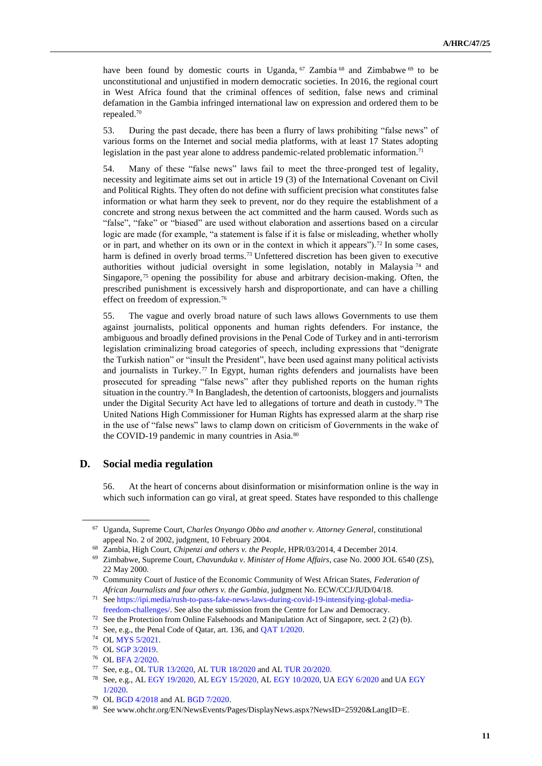have been found by domestic courts in Uganda, <sup>67</sup> Zambia <sup>68</sup> and Zimbabwe <sup>69</sup> to be unconstitutional and unjustified in modern democratic societies. In 2016, the regional court in West Africa found that the criminal offences of sedition, false news and criminal defamation in the Gambia infringed international law on expression and ordered them to be repealed.<sup>70</sup>

53. During the past decade, there has been a flurry of laws prohibiting "false news" of various forms on the Internet and social media platforms, with at least 17 States adopting legislation in the past year alone to address pandemic-related problematic information.<sup>71</sup>

54. Many of these "false news" laws fail to meet the three-pronged test of legality, necessity and legitimate aims set out in article 19 (3) of the International Covenant on Civil and Political Rights. They often do not define with sufficient precision what constitutes false information or what harm they seek to prevent, nor do they require the establishment of a concrete and strong nexus between the act committed and the harm caused. Words such as "false", "fake" or "biased" are used without elaboration and assertions based on a circular logic are made (for example, "a statement is false if it is false or misleading, whether wholly or in part, and whether on its own or in the context in which it appears").<sup>72</sup> In some cases, harm is defined in overly broad terms.<sup>73</sup> Unfettered discretion has been given to executive authorities without judicial oversight in some legislation, notably in Malaysia<sup>74</sup> and Singapore,<sup>75</sup> opening the possibility for abuse and arbitrary decision-making. Often, the prescribed punishment is excessively harsh and disproportionate, and can have a chilling effect on freedom of expression.<sup>76</sup>

55. The vague and overly broad nature of such laws allows Governments to use them against journalists, political opponents and human rights defenders. For instance, the ambiguous and broadly defined provisions in the Penal Code of Turkey and in anti-terrorism legislation criminalizing broad categories of speech, including expressions that "denigrate the Turkish nation" or "insult the President", have been used against many political activists and journalists in Turkey.<sup>77</sup> In Egypt, human rights defenders and journalists have been prosecuted for spreading "false news" after they published reports on the human rights situation in the country.<sup>78</sup> In Bangladesh, the detention of cartoonists, bloggers and journalists under the Digital Security Act have led to allegations of torture and death in custody.<sup>79</sup> The United Nations High Commissioner for Human Rights has expressed alarm at the sharp rise in the use of "false news" laws to clamp down on criticism of Governments in the wake of the COVID-19 pandemic in many countries in Asia.<sup>80</sup>

## **D. Social media regulation**

56. At the heart of concerns about disinformation or misinformation online is the way in which such information can go viral, at great speed. States have responded to this challenge

<sup>67</sup> Uganda, Supreme Court, *Charles Onyango Obbo and another v. Attorney General*, constitutional appeal No. 2 of 2002, judgment, 10 February 2004.

<sup>68</sup> Zambia, High Court, *Chipenzi and others v. the People*, HPR/03/2014, 4 December 2014.

<sup>69</sup> Zimbabwe, Supreme Court, *Chavunduka v. Minister of Home Affairs*, case No. 2000 JOL 6540 (ZS), 22 May 2000.

<sup>70</sup> Community Court of Justice of the Economic Community of West African States, *Federation of African Journalists and four others v. the Gambia*, judgment No. ECW/CCJ/JUD/04/18.

<sup>71</sup> Se[e https://ipi.media/rush-to-pass-fake-news-laws-during-covid-19-intensifying-global-media](https://ipi.media/rush-to-pass-fake-news-laws-during-covid-19-intensifying-global-media-freedom-challenges/)[freedom-challenges/.](https://ipi.media/rush-to-pass-fake-news-laws-during-covid-19-intensifying-global-media-freedom-challenges/) See also the submission from the Centre for Law and Democracy.

<sup>72</sup> See the Protection from Online Falsehoods and Manipulation Act of Singapore, sect. 2 (2) (b).

<sup>73</sup> See, e.g., the Penal Code of Qatar, art. 136, an[d QAT 1/2020.](https://spcommreports.ohchr.org/TMResultsBase/DownLoadPublicCommunicationFile?gId=25158)

<sup>74</sup> O[L MYS 5/2021.](https://spcommreports.ohchr.org/TMResultsBase/DownLoadPublicCommunicationFile?gId=26287)

<sup>75</sup> O[L SGP 3/2019.](https://www.ohchr.org/Documents/Issues/Opinion/Legislation/OL_SGP_3_2019.pdf)

<sup>76</sup> O[L BFA 2/2020.](https://spcommreports.ohchr.org/TMResultsBase/DownLoadPublicCommunicationFile?gId=25537)

<sup>77</sup> See, e.g., O[L TUR 13/2020,](https://spcommreports.ohchr.org/TMResultsBase/DownLoadPublicCommunicationFile?gId=25482) AL [TUR 18/2020](https://spcommreports.ohchr.org/TMResultsBase/DownLoadPublicCommunicationFile?gId=25591) and A[L TUR 20/2020.](https://spcommreports.ohchr.org/TMResultsBase/DownLoadPublicCommunicationFile?gId=25660)

<sup>78</sup> See, e.g., A[L EGY 19/2020,](https://spcommreports.ohchr.org/TMResultsBase/DownLoadPublicCommunicationFile?gId=25800) A[L EGY 15/2020,](https://spcommreports.ohchr.org/TMResultsBase/DownLoadPublicCommunicationFile?gId=25741) A[L EGY 10/2020,](https://spcommreports.ohchr.org/TMResultsBase/DownLoadPublicCommunicationFile?gId=25457) U[A EGY 6/2020](https://spcommreports.ohchr.org/TMResultsBase/DownLoadPublicCommunicationFile?gId=25136) and UA [EGY](https://spcommreports.ohchr.org/TMResultsBase/DownLoadPublicCommunicationFile?gId=25031)  [1/2020.](https://spcommreports.ohchr.org/TMResultsBase/DownLoadPublicCommunicationFile?gId=25031)

O[L BGD 4/2018](https://spcommreports.ohchr.org/TMResultsBase/DownLoadPublicCommunicationFile?gId=23838) and AL BGD 7/2020.

<sup>80</sup> See www.ohchr.org/EN/NewsEvents/Pages/DisplayNews.aspx?NewsID=25920&LangID=E.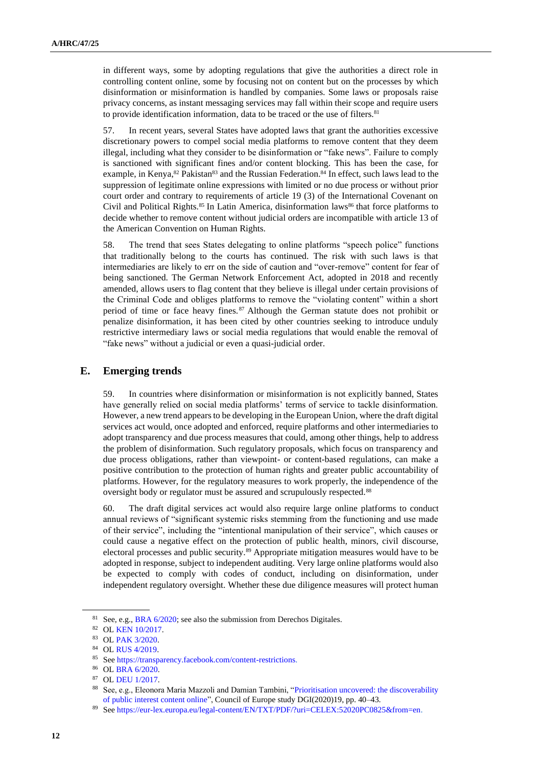in different ways, some by adopting regulations that give the authorities a direct role in controlling content online, some by focusing not on content but on the processes by which disinformation or misinformation is handled by companies. Some laws or proposals raise privacy concerns, as instant messaging services may fall within their scope and require users to provide identification information, data to be traced or the use of filters.<sup>81</sup>

57. In recent years, several States have adopted laws that grant the authorities excessive discretionary powers to compel social media platforms to remove content that they deem illegal, including what they consider to be disinformation or "fake news". Failure to comply is sanctioned with significant fines and/or content blocking. This has been the case, for example, in Kenya,<sup>82</sup> Pakistan<sup>83</sup> and the Russian Federation.<sup>84</sup> In effect, such laws lead to the suppression of legitimate online expressions with limited or no due process or without prior court order and contrary to requirements of article 19 (3) of the International Covenant on Civil and Political Rights.<sup>85</sup> In Latin America, disinformation laws<sup>86</sup> that force platforms to decide whether to remove content without judicial orders are incompatible with article 13 of the American Convention on Human Rights.

58. The trend that sees States delegating to online platforms "speech police" functions that traditionally belong to the courts has continued. The risk with such laws is that intermediaries are likely to err on the side of caution and "over-remove" content for fear of being sanctioned. The German Network Enforcement Act, adopted in 2018 and recently amended, allows users to flag content that they believe is illegal under certain provisions of the Criminal Code and obliges platforms to remove the "violating content" within a short period of time or face heavy fines.<sup>87</sup> Although the German statute does not prohibit or penalize disinformation, it has been cited by other countries seeking to introduce unduly restrictive intermediary laws or social media regulations that would enable the removal of "fake news" without a judicial or even a quasi-judicial order.

#### **E. Emerging trends**

59. In countries where disinformation or misinformation is not explicitly banned, States have generally relied on social media platforms' terms of service to tackle disinformation. However, a new trend appears to be developing in the European Union, where the draft digital services act would, once adopted and enforced, require platforms and other intermediaries to adopt transparency and due process measures that could, among other things, help to address the problem of disinformation. Such regulatory proposals, which focus on transparency and due process obligations, rather than viewpoint- or content-based regulations, can make a positive contribution to the protection of human rights and greater public accountability of platforms. However, for the regulatory measures to work properly, the independence of the oversight body or regulator must be assured and scrupulously respected.<sup>88</sup>

60. The draft digital services act would also require large online platforms to conduct annual reviews of "significant systemic risks stemming from the functioning and use made of their service", including the "intentional manipulation of their service", which causes or could cause a negative effect on the protection of public health, minors, civil discourse, electoral processes and public security.<sup>89</sup> Appropriate mitigation measures would have to be adopted in response, subject to independent auditing. Very large online platforms would also be expected to comply with codes of conduct, including on disinformation, under independent regulatory oversight. Whether these due diligence measures will protect human

<sup>&</sup>lt;sup>81</sup> See, e.g.[, BRA 6/2020;](https://spcommreports.ohchr.org/TMResultsBase/DownLoadPublicCommunicationFile?gId=25417) see also the submission from Derechos Digitales.

<sup>82</sup> O[L KEN 10/2017.](https://www.ohchr.org/Documents/Issues/Opinion/Legislation/OL_KEN_10_2017.pdf)

<sup>83</sup> O[L PAK 3/2020.](https://spcommreports.ohchr.org/TMResultsBase/DownLoadPublicCommunicationFile?gId=25108)

<sup>84</sup> O[L RUS 4/2019.](https://www.ohchr.org/Documents/Issues/Opinion/Legislation/OL_RUS_01_05_19.pdf)

<sup>85</sup> Se[e https://transparency.facebook.com/content-restrictions.](https://transparency.facebook.com/content-restrictions)

<sup>86</sup> O[L BRA 6/2020.](https://spcommreports.ohchr.org/TMResultsBase/DownLoadPublicCommunicationFile?gId=25417)

<sup>87</sup> O[L DEU 1/2017.](https://www.ohchr.org/Documents/Issues/Opinion/Legislation/OL-DEU-1-2017.pdf)

<sup>88</sup> See, e.g., Eleonora Maria Mazzoli and Damian Tambini, ["Prioritisation uncovered: the discoverability](https://rm.coe.int/publication-content-prioritisation-report/1680a07a57)  [of public interest content online"](https://rm.coe.int/publication-content-prioritisation-report/1680a07a57), Council of Europe study DGI(2020)19, pp. 40–43.

<sup>89</sup> Se[e https://eur-lex.europa.eu/legal-content/EN/TXT/PDF/?uri=CELEX:52020PC0825&from=en.](https://eur-lex.europa.eu/legal-content/EN/TXT/PDF/?uri=CELEX:52020PC0825&from=en)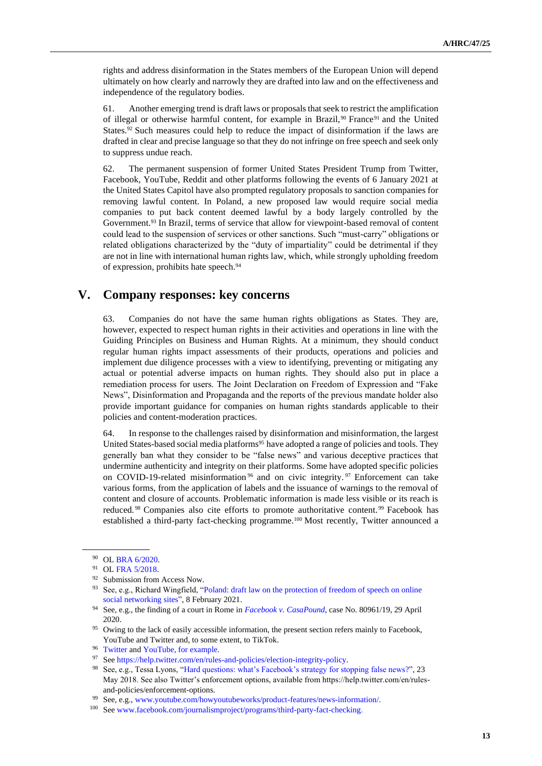rights and address disinformation in the States members of the European Union will depend ultimately on how clearly and narrowly they are drafted into law and on the effectiveness and independence of the regulatory bodies.

61. Another emerging trend is draft laws or proposals that seek to restrict the amplification of illegal or otherwise harmful content, for example in Brazil,<sup>90</sup> France<sup>91</sup> and the United States.<sup>92</sup> Such measures could help to reduce the impact of disinformation if the laws are drafted in clear and precise language so that they do not infringe on free speech and seek only to suppress undue reach.

62. The permanent suspension of former United States President Trump from Twitter, Facebook, YouTube, Reddit and other platforms following the events of 6 January 2021 at the United States Capitol have also prompted regulatory proposals to sanction companies for removing lawful content. In Poland, a new proposed law would require social media companies to put back content deemed lawful by a body largely controlled by the Government.<sup>93</sup> In Brazil, terms of service that allow for viewpoint-based removal of content could lead to the suspension of services or other sanctions. Such "must-carry" obligations or related obligations characterized by the "duty of impartiality" could be detrimental if they are not in line with international human rights law, which, while strongly upholding freedom of expression, prohibits hate speech.<sup>94</sup>

# **V. Company responses: key concerns**

63. Companies do not have the same human rights obligations as States. They are, however, expected to respect human rights in their activities and operations in line with the Guiding Principles on Business and Human Rights. At a minimum, they should conduct regular human rights impact assessments of their products, operations and policies and implement due diligence processes with a view to identifying, preventing or mitigating any actual or potential adverse impacts on human rights. They should also put in place a remediation process for users. The Joint Declaration on Freedom of Expression and "Fake News", Disinformation and Propaganda and the reports of the previous mandate holder also provide important guidance for companies on human rights standards applicable to their policies and content-moderation practices.

64. In response to the challenges raised by disinformation and misinformation, the largest United States-based social media platforms<sup>95</sup> have adopted a range of policies and tools. They generally ban what they consider to be "false news" and various deceptive practices that undermine authenticity and integrity on their platforms. Some have adopted specific policies on COVID-19-related misinformation <sup>96</sup> and on civic integrity. <sup>97</sup> Enforcement can take various forms, from the application of labels and the issuance of warnings to the removal of content and closure of accounts. Problematic information is made less visible or its reach is reduced. <sup>98</sup> Companies also cite efforts to promote authoritative content. <sup>99</sup> Facebook has established a third-party fact-checking programme.<sup>100</sup> Most recently, Twitter announced a

<sup>90</sup> OL [BRA 6/2020.](https://spcommreports.ohchr.org/TMResultsBase/DownLoadPublicCommunicationFile?gId=25417)

<sup>91</sup> O[L FRA 5/2018.](https://www.ohchr.org/Documents/Issues/Opinion/Legislation/OL-FRA-5-2018.pdf)

<sup>92</sup> Submission from Access Now.

<sup>93</sup> See, e.g., Richard Wingfield, "Poland: draft law on the protection of freedom of speech on online [social networking sites"](https://richard-wingfield.medium.com/poland-draft-law-on-the-protection-of-freedom-of-speech-on-online-social-networking-sites-ce8815d3f85c)*,* 8 February 2021.

<sup>94</sup> See, e.g., the finding of a court in Rome in *[Facebook v. CasaPound](https://globalfreedomofexpression.columbia.edu/cases/casapound-v-facebook/)*, case No. 80961/19, 29 April 2020.

<sup>&</sup>lt;sup>95</sup> Owing to the lack of easily accessible information, the present section refers mainly to Facebook, YouTube and Twitter and, to some extent, to TikTok.

<sup>96</sup> [Twitter](https://help.twitter.com/en/rules-and-policies/medical-misinformation-policy) an[d YouTube,](https://support.google.com/youtube/answer/9891785?hl=en&hl=en&ref_topic=9282436) for example.

<sup>97</sup> Se[e https://help.twitter.com/en/rules-and-policies/election-integrity-policy.](https://help.twitter.com/en/rules-and-policies/election-integrity-policy)

<sup>98</sup> See, e.g., Tessa Lyons, ["Hard questions: what's Facebook's strategy for stopping false news?](https://about.fb.com/news/2018/05/hard-questions-false-news/)", 23 May 2018. See also Twitter's enforcement options, available from https://help.twitter.com/en/rulesand-policies/enforcement-options.

See, e.g.[, www.youtube.com/howyoutubeworks/product-features/news-information/.](https://www.youtube.com/howyoutubeworks/product-features/news-information/)

<sup>100</sup> Se[e www.facebook.com/journalismproject/programs/third-party-fact-checking.](http://www.facebook.com/journalismproject/programs/third-party-fact-checking)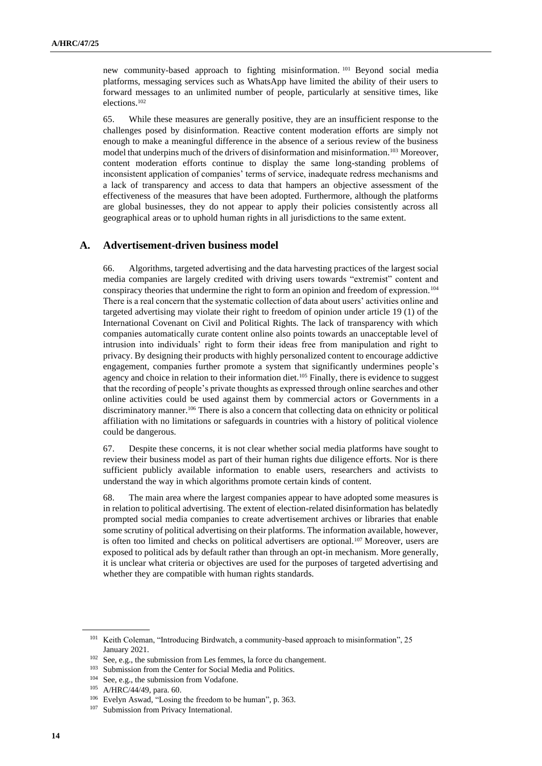new community-based approach to fighting misinformation. <sup>101</sup> Beyond social media platforms, messaging services such as WhatsApp have limited the ability of their users to forward messages to an unlimited number of people, particularly at sensitive times, like elections.<sup>102</sup>

65. While these measures are generally positive, they are an insufficient response to the challenges posed by disinformation. Reactive content moderation efforts are simply not enough to make a meaningful difference in the absence of a serious review of the business model that underpins much of the drivers of disinformation and misinformation.<sup>103</sup> Moreover, content moderation efforts continue to display the same long-standing problems of inconsistent application of companies' terms of service, inadequate redress mechanisms and a lack of transparency and access to data that hampers an objective assessment of the effectiveness of the measures that have been adopted. Furthermore, although the platforms are global businesses, they do not appear to apply their policies consistently across all geographical areas or to uphold human rights in all jurisdictions to the same extent.

## **A. Advertisement-driven business model**

66. Algorithms, targeted advertising and the data harvesting practices of the largest social media companies are largely credited with driving users towards "extremist" content and conspiracy theories that undermine the right to form an opinion and freedom of expression.<sup>104</sup> There is a real concern that the systematic collection of data about users' activities online and targeted advertising may violate their right to freedom of opinion under article 19 (1) of the International Covenant on Civil and Political Rights. The lack of transparency with which companies automatically curate content online also points towards an unacceptable level of intrusion into individuals' right to form their ideas free from manipulation and right to privacy. By designing their products with highly personalized content to encourage addictive engagement, companies further promote a system that significantly undermines people's agency and choice in relation to their information diet.<sup>105</sup> Finally, there is evidence to suggest that the recording of people's private thoughts as expressed through online searches and other online activities could be used against them by commercial actors or Governments in a discriminatory manner.<sup>106</sup> There is also a concern that collecting data on ethnicity or political affiliation with no limitations or safeguards in countries with a history of political violence could be dangerous.

67. Despite these concerns, it is not clear whether social media platforms have sought to review their business model as part of their human rights due diligence efforts. Nor is there sufficient publicly available information to enable users, researchers and activists to understand the way in which algorithms promote certain kinds of content.

68. The main area where the largest companies appear to have adopted some measures is in relation to political advertising. The extent of election-related disinformation has belatedly prompted social media companies to create advertisement archives or libraries that enable some scrutiny of political advertising on their platforms. The information available, however, is often too limited and checks on political advertisers are optional.<sup>107</sup> Moreover, users are exposed to political ads by default rather than through an opt-in mechanism. More generally, it is unclear what criteria or objectives are used for the purposes of targeted advertising and whether they are compatible with human rights standards.

<sup>&</sup>lt;sup>101</sup> Keith Coleman, "Introducing Birdwatch, a community-based approach to misinformation", 25 January 2021.

<sup>102</sup> See, e.g., the submission from Les femmes, la force du changement.

<sup>103</sup> Submission from the Center for Social Media and Politics.

<sup>&</sup>lt;sup>104</sup> See, e.g., the submission from Vodafone.

<sup>105</sup> A/HRC/44/49, para. 60.

<sup>106</sup> Evelyn Aswad, "Losing the freedom to be human", p. 363.

<sup>&</sup>lt;sup>107</sup> Submission from Privacy International.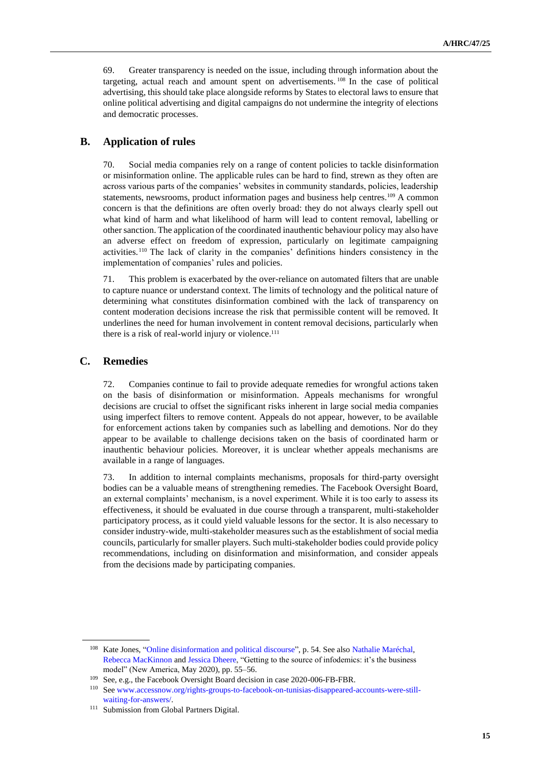69. Greater transparency is needed on the issue, including through information about the targeting, actual reach and amount spent on advertisements. <sup>108</sup> In the case of political advertising, this should take place alongside reforms by States to electoral laws to ensure that online political advertising and digital campaigns do not undermine the integrity of elections and democratic processes.

### **B. Application of rules**

70. Social media companies rely on a range of content policies to tackle disinformation or misinformation online. The applicable rules can be hard to find, strewn as they often are across various parts of the companies' websites in community standards, policies, leadership statements, newsrooms, product information pages and business help centres.<sup>109</sup> A common concern is that the definitions are often overly broad: they do not always clearly spell out what kind of harm and what likelihood of harm will lead to content removal, labelling or other sanction. The application of the coordinated inauthentic behaviour policy may also have an adverse effect on freedom of expression, particularly on legitimate campaigning activities. <sup>110</sup> The lack of clarity in the companies' definitions hinders consistency in the implementation of companies' rules and policies.

71. This problem is exacerbated by the over-reliance on automated filters that are unable to capture nuance or understand context. The limits of technology and the political nature of determining what constitutes disinformation combined with the lack of transparency on content moderation decisions increase the risk that permissible content will be removed. It underlines the need for human involvement in content removal decisions, particularly when there is a risk of real-world injury or violence.<sup>111</sup>

### **C. Remedies**

72. Companies continue to fail to provide adequate remedies for wrongful actions taken on the basis of disinformation or misinformation. Appeals mechanisms for wrongful decisions are crucial to offset the significant risks inherent in large social media companies using imperfect filters to remove content. Appeals do not appear, however, to be available for enforcement actions taken by companies such as labelling and demotions. Nor do they appear to be available to challenge decisions taken on the basis of coordinated harm or inauthentic behaviour policies. Moreover, it is unclear whether appeals mechanisms are available in a range of languages.

73. In addition to internal complaints mechanisms, proposals for third-party oversight bodies can be a valuable means of strengthening remedies. The Facebook Oversight Board, an external complaints' mechanism, is a novel experiment. While it is too early to assess its effectiveness, it should be evaluated in due course through a transparent, multi-stakeholder participatory process, as it could yield valuable lessons for the sector. It is also necessary to consider industry-wide, multi-stakeholder measures such as the establishment of social media councils, particularly for smaller players. Such multi-stakeholder bodies could provide policy recommendations, including on disinformation and misinformation, and consider appeals from the decisions made by participating companies.

<sup>&</sup>lt;sup>108</sup> Kate Jones, ["Online disinformation and political discourse",](https://www.chathamhouse.org/sites/default/files/2019-11-05-Online-Disinformation-Human-Rights.pdf) p. 54. See also Nathalie [Maréchal,](https://www.newamerica.org/our-people/nathalie-marechal/) Rebecca [MacKinnon](https://www.newamerica.org/our-people/rebecca-mackinnon/) and Jessica [Dheere,](https://www.newamerica.org/our-people/jessica-dheere/) "Getting to the source of infodemics: it's the business model" (New America, May 2020), pp. 55–56.

<sup>109</sup> See, e.g., the Facebook Oversight Board decision in case 2020-006-FB-FBR.

<sup>110</sup> Se[e www.accessnow.org/rights-groups-to-facebook-on-tunisias-disappeared-accounts-were-still](http://www.accessnow.org/rights-groups-to-facebook-on-tunisias-disappeared-accounts-were-still-waiting-for-answers/)[waiting-for-answers/.](http://www.accessnow.org/rights-groups-to-facebook-on-tunisias-disappeared-accounts-were-still-waiting-for-answers/)

<sup>&</sup>lt;sup>111</sup> Submission from Global Partners Digital.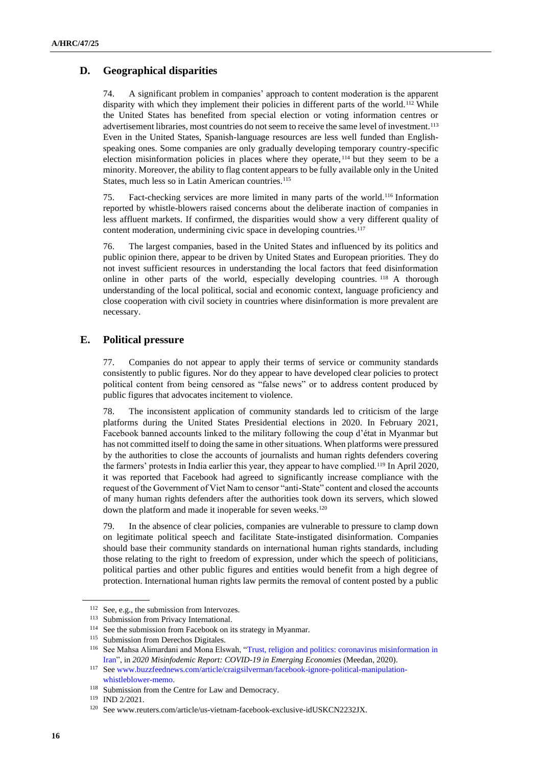## **D. Geographical disparities**

74. A significant problem in companies' approach to content moderation is the apparent disparity with which they implement their policies in different parts of the world.<sup>112</sup> While the United States has benefited from special election or voting information centres or advertisement libraries, most countries do not seem to receive the same level of investment.<sup>113</sup> Even in the United States, Spanish-language resources are less well funded than Englishspeaking ones. Some companies are only gradually developing temporary country-specific election misinformation policies in places where they operate, <sup>114</sup> but they seem to be a minority. Moreover, the ability to flag content appears to be fully available only in the United States, much less so in Latin American countries.<sup>115</sup>

75. Fact-checking services are more limited in many parts of the world.<sup>116</sup> Information reported by whistle-blowers raised concerns about the deliberate inaction of companies in less affluent markets. If confirmed, the disparities would show a very different quality of content moderation, undermining civic space in developing countries.<sup>117</sup>

76. The largest companies, based in the United States and influenced by its politics and public opinion there, appear to be driven by United States and European priorities. They do not invest sufficient resources in understanding the local factors that feed disinformation online in other parts of the world, especially developing countries. <sup>118</sup> A thorough understanding of the local political, social and economic context, language proficiency and close cooperation with civil society in countries where disinformation is more prevalent are necessary.

## **E. Political pressure**

77. Companies do not appear to apply their terms of service or community standards consistently to public figures. Nor do they appear to have developed clear policies to protect political content from being censored as "false news" or to address content produced by public figures that advocates incitement to violence.

78. The inconsistent application of community standards led to criticism of the large platforms during the United States Presidential elections in 2020. In February 2021, Facebook banned accounts linked to the military following the coup d'état in Myanmar but has not committed itself to doing the same in other situations. When platforms were pressured by the authorities to close the accounts of journalists and human rights defenders covering the farmers' protests in India earlier this year, they appear to have complied.<sup>119</sup> In April 2020, it was reported that Facebook had agreed to significantly increase compliance with the request of the Government of Viet Nam to censor "anti-State" content and closed the accounts of many human rights defenders after the authorities took down its servers, which slowed down the platform and made it inoperable for seven weeks.<sup>120</sup>

79. In the absence of clear policies, companies are vulnerable to pressure to clamp down on legitimate political speech and facilitate State-instigated disinformation. Companies should base their community standards on international human rights standards, including those relating to the right to freedom of expression, under which the speech of politicians, political parties and other public figures and entities would benefit from a high degree of protection. International human rights law permits the removal of content posted by a public

<sup>112</sup> See, e.g., the submission from Intervozes.

<sup>113</sup> Submission from Privacy International.

<sup>114</sup> See the submission from Facebook on its strategy in Myanmar.

<sup>115</sup> Submission from Derechos Digitales.

<sup>116</sup> See Mahsa Alimardani and Mona Elswah, ["Trust, religion and politics: coronavirus misinformation in](https://ssrn.com/abstract=3634677)  [Iran",](https://ssrn.com/abstract=3634677) in *2020 Misinfodemic Report: COVID-19 in Emerging Economies* (Meedan, 2020).

<sup>117</sup> Se[e www.buzzfeednews.com/article/craigsilverman/facebook-ignore-political-manipulation](http://www.buzzfeednews.com/article/craigsilverman/facebook-ignore-political-manipulation-whistleblower-memo)[whistleblower-memo.](http://www.buzzfeednews.com/article/craigsilverman/facebook-ignore-political-manipulation-whistleblower-memo)

<sup>&</sup>lt;sup>118</sup> Submission from the Centre for Law and Democracy.

<sup>119</sup> IND 2/2021.

<sup>120</sup> See www.reuters.com/article/us-vietnam-facebook-exclusive-idUSKCN2232JX.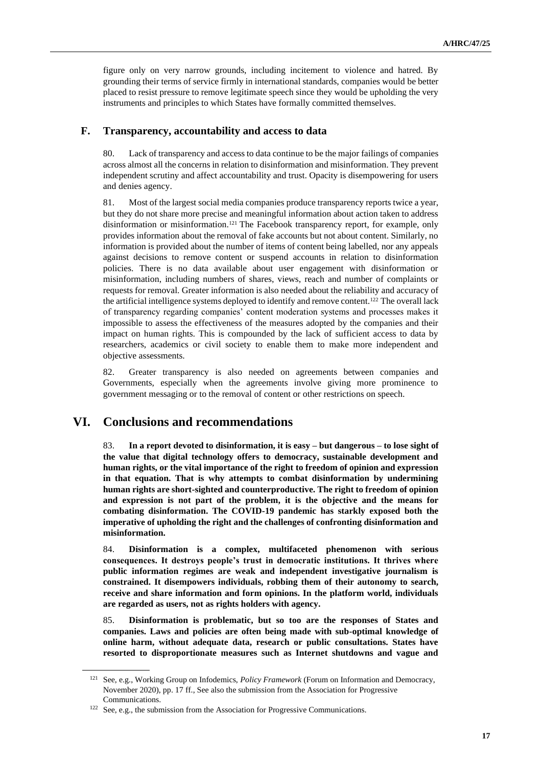figure only on very narrow grounds, including incitement to violence and hatred. By grounding their terms of service firmly in international standards, companies would be better placed to resist pressure to remove legitimate speech since they would be upholding the very instruments and principles to which States have formally committed themselves.

### **F. Transparency, accountability and access to data**

80. Lack of transparency and access to data continue to be the major failings of companies across almost all the concerns in relation to disinformation and misinformation. They prevent independent scrutiny and affect accountability and trust. Opacity is disempowering for users and denies agency.

81. Most of the largest social media companies produce transparency reports twice a year, but they do not share more precise and meaningful information about action taken to address disinformation or misinformation.<sup>121</sup> The Facebook transparency report, for example, only provides information about the removal of fake accounts but not about content. Similarly, no information is provided about the number of items of content being labelled, nor any appeals against decisions to remove content or suspend accounts in relation to disinformation policies. There is no data available about user engagement with disinformation or misinformation, including numbers of shares, views, reach and number of complaints or requests for removal. Greater information is also needed about the reliability and accuracy of the artificial intelligence systems deployed to identify and remove content.<sup>122</sup> The overall lack of transparency regarding companies' content moderation systems and processes makes it impossible to assess the effectiveness of the measures adopted by the companies and their impact on human rights. This is compounded by the lack of sufficient access to data by researchers, academics or civil society to enable them to make more independent and objective assessments.

82. Greater transparency is also needed on agreements between companies and Governments, especially when the agreements involve giving more prominence to government messaging or to the removal of content or other restrictions on speech.

# **VI. Conclusions and recommendations**

83. **In a report devoted to disinformation, it is easy – but dangerous – to lose sight of the value that digital technology offers to democracy, sustainable development and human rights, or the vital importance of the right to freedom of opinion and expression in that equation. That is why attempts to combat disinformation by undermining human rights are short-sighted and counterproductive. The right to freedom of opinion and expression is not part of the problem, it is the objective and the means for combating disinformation. The COVID-19 pandemic has starkly exposed both the imperative of upholding the right and the challenges of confronting disinformation and misinformation.** 

84. **Disinformation is a complex, multifaceted phenomenon with serious consequences. It destroys people's trust in democratic institutions. It thrives where public information regimes are weak and independent investigative journalism is constrained. It disempowers individuals, robbing them of their autonomy to search, receive and share information and form opinions. In the platform world, individuals are regarded as users, not as rights holders with agency.** 

85. **Disinformation is problematic, but so too are the responses of States and companies. Laws and policies are often being made with sub-optimal knowledge of online harm, without adequate data, research or public consultations. States have resorted to disproportionate measures such as Internet shutdowns and vague and** 

<sup>121</sup> See, e.g., Working Group on Infodemics, *Policy Framework* (Forum on Information and Democracy, November 2020), pp. 17 ff., See also the submission from the Association for Progressive Communications.

<sup>122</sup> See, e.g., the submission from the Association for Progressive Communications.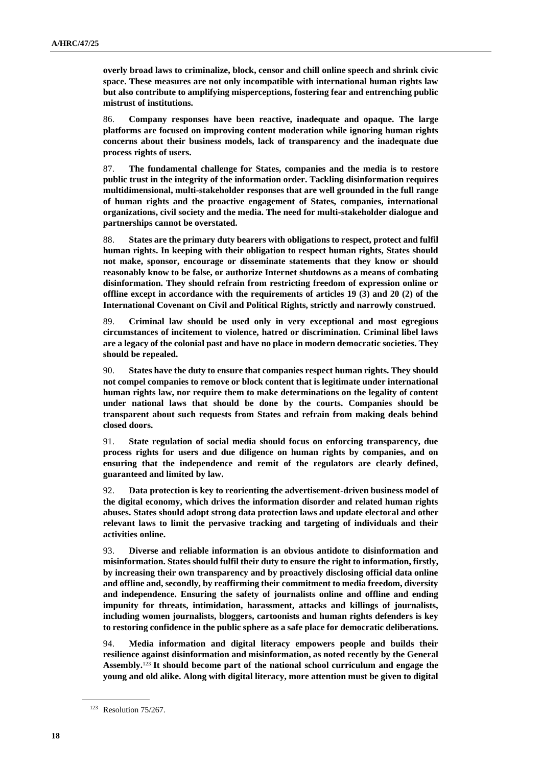**overly broad laws to criminalize, block, censor and chill online speech and shrink civic space. These measures are not only incompatible with international human rights law but also contribute to amplifying misperceptions, fostering fear and entrenching public mistrust of institutions.** 

86. **Company responses have been reactive, inadequate and opaque. The large platforms are focused on improving content moderation while ignoring human rights concerns about their business models, lack of transparency and the inadequate due process rights of users.** 

87. **The fundamental challenge for States, companies and the media is to restore public trust in the integrity of the information order. Tackling disinformation requires multidimensional, multi-stakeholder responses that are well grounded in the full range of human rights and the proactive engagement of States, companies, international organizations, civil society and the media. The need for multi-stakeholder dialogue and partnerships cannot be overstated.** 

88. **States are the primary duty bearers with obligations to respect, protect and fulfil human rights. In keeping with their obligation to respect human rights, States should not make, sponsor, encourage or disseminate statements that they know or should reasonably know to be false, or authorize Internet shutdowns as a means of combating disinformation. They should refrain from restricting freedom of expression online or offline except in accordance with the requirements of articles 19 (3) and 20 (2) of the International Covenant on Civil and Political Rights, strictly and narrowly construed.** 

89. **Criminal law should be used only in very exceptional and most egregious circumstances of incitement to violence, hatred or discrimination. Criminal libel laws are a legacy of the colonial past and have no place in modern democratic societies. They should be repealed.**

90. **States have the duty to ensure that companies respect human rights. They should not compel companies to remove or block content that is legitimate under international human rights law, nor require them to make determinations on the legality of content under national laws that should be done by the courts. Companies should be transparent about such requests from States and refrain from making deals behind closed doors.** 

91. **State regulation of social media should focus on enforcing transparency, due process rights for users and due diligence on human rights by companies, and on ensuring that the independence and remit of the regulators are clearly defined, guaranteed and limited by law.** 

92. **Data protection is key to reorienting the advertisement-driven business model of the digital economy, which drives the information disorder and related human rights abuses. States should adopt strong data protection laws and update electoral and other relevant laws to limit the pervasive tracking and targeting of individuals and their activities online.**

93. **Diverse and reliable information is an obvious antidote to disinformation and misinformation. States should fulfil their duty to ensure the right to information, firstly, by increasing their own transparency and by proactively disclosing official data online and offline and, secondly, by reaffirming their commitment to media freedom, diversity and independence. Ensuring the safety of journalists online and offline and ending impunity for threats, intimidation, harassment, attacks and killings of journalists, including women journalists, bloggers, cartoonists and human rights defenders is key to restoring confidence in the public sphere as a safe place for democratic deliberations.** 

94. **Media information and digital literacy empowers people and builds their resilience against disinformation and misinformation, as noted recently by the General Assembly.**<sup>123</sup> **It should become part of the national school curriculum and engage the young and old alike. Along with digital literacy, more attention must be given to digital** 

<sup>123</sup> Resolution 75/267.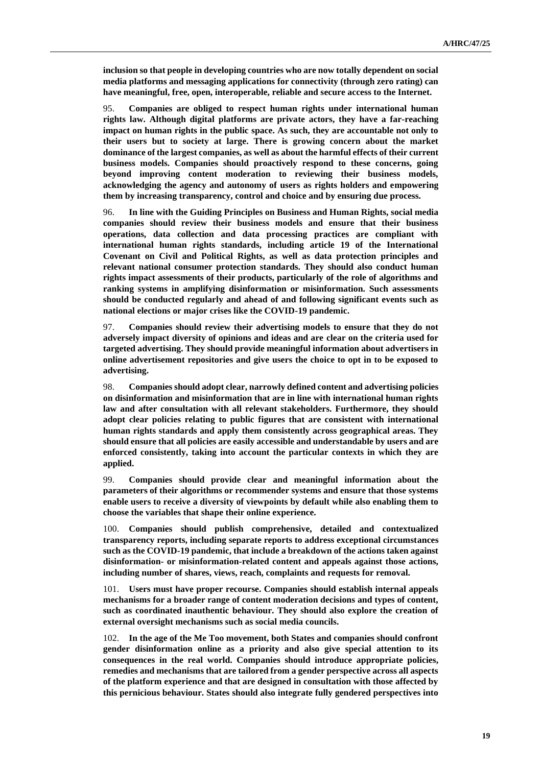**inclusion so that people in developing countries who are now totally dependent on social media platforms and messaging applications for connectivity (through zero rating) can have meaningful, free, open, interoperable, reliable and secure access to the Internet.** 

95. **Companies are obliged to respect human rights under international human rights law. Although digital platforms are private actors, they have a far-reaching impact on human rights in the public space. As such, they are accountable not only to their users but to society at large. There is growing concern about the market dominance of the largest companies, as well as about the harmful effects of their current business models. Companies should proactively respond to these concerns, going beyond improving content moderation to reviewing their business models, acknowledging the agency and autonomy of users as rights holders and empowering them by increasing transparency, control and choice and by ensuring due process.** 

96. **In line with the Guiding Principles on Business and Human Rights, social media companies should review their business models and ensure that their business operations, data collection and data processing practices are compliant with international human rights standards, including article 19 of the International Covenant on Civil and Political Rights, as well as data protection principles and relevant national consumer protection standards. They should also conduct human rights impact assessments of their products, particularly of the role of algorithms and ranking systems in amplifying disinformation or misinformation. Such assessments should be conducted regularly and ahead of and following significant events such as national elections or major crises like the COVID-19 pandemic.**

97. **Companies should review their advertising models to ensure that they do not adversely impact diversity of opinions and ideas and are clear on the criteria used for targeted advertising. They should provide meaningful information about advertisers in online advertisement repositories and give users the choice to opt in to be exposed to advertising.**

98. **Companies should adopt clear, narrowly defined content and advertising policies on disinformation and misinformation that are in line with international human rights law and after consultation with all relevant stakeholders. Furthermore, they should adopt clear policies relating to public figures that are consistent with international human rights standards and apply them consistently across geographical areas. They should ensure that all policies are easily accessible and understandable by users and are enforced consistently, taking into account the particular contexts in which they are applied.**

99. **Companies should provide clear and meaningful information about the parameters of their algorithms or recommender systems and ensure that those systems enable users to receive a diversity of viewpoints by default while also enabling them to choose the variables that shape their online experience.**

100. **Companies should publish comprehensive, detailed and contextualized transparency reports, including separate reports to address exceptional circumstances such as the COVID-19 pandemic, that include a breakdown of the actions taken against disinformation- or misinformation-related content and appeals against those actions, including number of shares, views, reach, complaints and requests for removal.**

101. **Users must have proper recourse. Companies should establish internal appeals mechanisms for a broader range of content moderation decisions and types of content, such as coordinated inauthentic behaviour. They should also explore the creation of external oversight mechanisms such as social media councils.** 

102. **In the age of the Me Too movement, both States and companies should confront gender disinformation online as a priority and also give special attention to its consequences in the real world. Companies should introduce appropriate policies, remedies and mechanisms that are tailored from a gender perspective across all aspects of the platform experience and that are designed in consultation with those affected by this pernicious behaviour. States should also integrate fully gendered perspectives into**